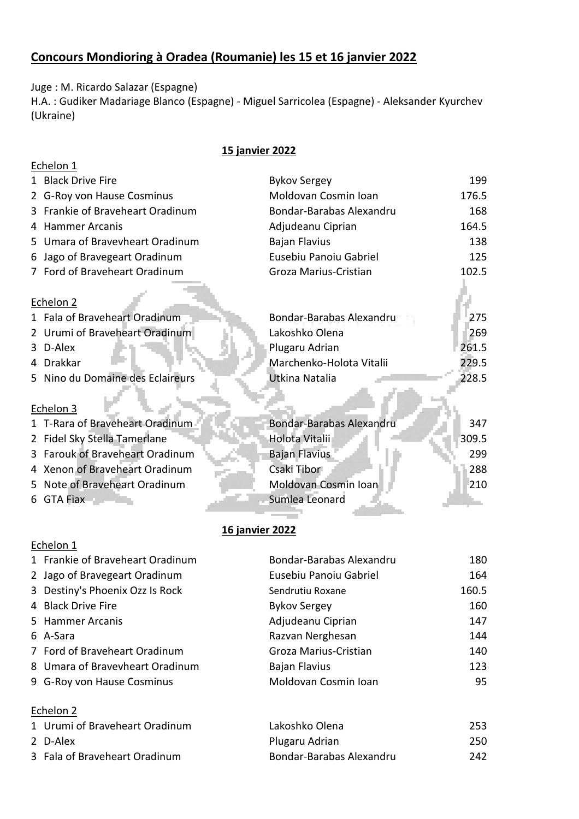## **Concours Mondioring à Oradea (Roumanie) les 15 et 16 janvier 2022**

Juge : M. Ricardo Salazar (Espagne)

H.A. : Gudiker Madariage Blanco (Espagne) - Miguel Sarricolea (Espagne) - Aleksander Kyurchev (Ukraine)

## **15 janvier 2022**

|    | Echelon 1                       |                          |       |
|----|---------------------------------|--------------------------|-------|
|    | 1 Black Drive Fire              | <b>Bykov Sergey</b>      | 199   |
|    | G-Roy von Hause Cosminus        | Moldovan Cosmin Ioan     | 176.5 |
| 3  | Frankie of Braveheart Oradinum  | Bondar-Barabas Alexandru | 168   |
|    | 4 Hammer Arcanis                | Adjudeanu Ciprian        | 164.5 |
|    | 5 Umara of Bravevheart Oradinum | <b>Bajan Flavius</b>     | 138   |
| 6  | Jago of Bravegeart Oradinum     | Eusebiu Panoiu Gabriel   | 125   |
|    | 7 Ford of Braveheart Oradinum   | Groza Marius-Cristian    | 102.5 |
|    |                                 |                          |       |
|    | Echelon 2                       |                          |       |
|    | 1 Fala of Braveheart Oradinum   | Bondar-Barabas Alexandru | 275   |
|    | 2 Urumi of Braveheart Oradinum  | Lakoshko Olena           | 269   |
| 3  | D-Alex                          | Plugaru Adrian           | 261.5 |
| 4  | Drakkar                         | Marchenko-Holota Vitalii | 229.5 |
| 5. | Nino du Domaine des Eclaireurs  | Utkina Natalia           | 228.5 |
|    |                                 |                          |       |
|    | Echelon 3                       |                          |       |
|    | 1 T-Rara of Braveheart Oradinum | Bondar-Barabas Alexandru | 347   |
|    | 2 Fidel Sky Stella Tamerlane    | Holota Vitalii           | 309.5 |
|    | 3 Farouk of Braveheart Oradinum | Bajan Flavius            | 299   |
|    | 4 Xenon of Braveheart Oradinum  | Csaki Tibor              | 288   |
| 5. | Note of Braveheart Oradinum     | Moldovan Cosmin Ioan     | 210   |
| 6  | <b>GTA Fiax</b>                 | Sumlea Leonard           |       |
|    |                                 |                          |       |

## **16 janvier 2022**

| 1 Frankie of Braveheart Oradinum | Bondar-Barabas Alexandru | 180   |
|----------------------------------|--------------------------|-------|
| 2 Jago of Bravegeart Oradinum    | Eusebiu Panoiu Gabriel   | 164   |
| 3 Destiny's Phoenix Ozz Is Rock  | Sendrutiu Roxane         | 160.5 |
| 4 Black Drive Fire               | <b>Bykov Sergey</b>      | 160   |
| 5 Hammer Arcanis                 | Adjudeanu Ciprian        | 147   |
| 6 A-Sara                         | Razvan Nerghesan         | 144   |
| 7 Ford of Braveheart Oradinum    | Groza Marius-Cristian    | 140   |
| 8 Umara of Bravevheart Oradinum  | <b>Bajan Flavius</b>     | 123   |
| 9 G-Roy von Hause Cosminus       | Moldovan Cosmin Ioan     | 95    |
|                                  |                          |       |

## Echelon 2

Echelon 1

| 1 Urumi of Braveheart Oradinum | Lakoshko Olena           | 253 |
|--------------------------------|--------------------------|-----|
| 2 D-Alex                       | Plugaru Adrian           | 250 |
| 3 Fala of Braveheart Oradinum  | Bondar-Barabas Alexandru | 242 |